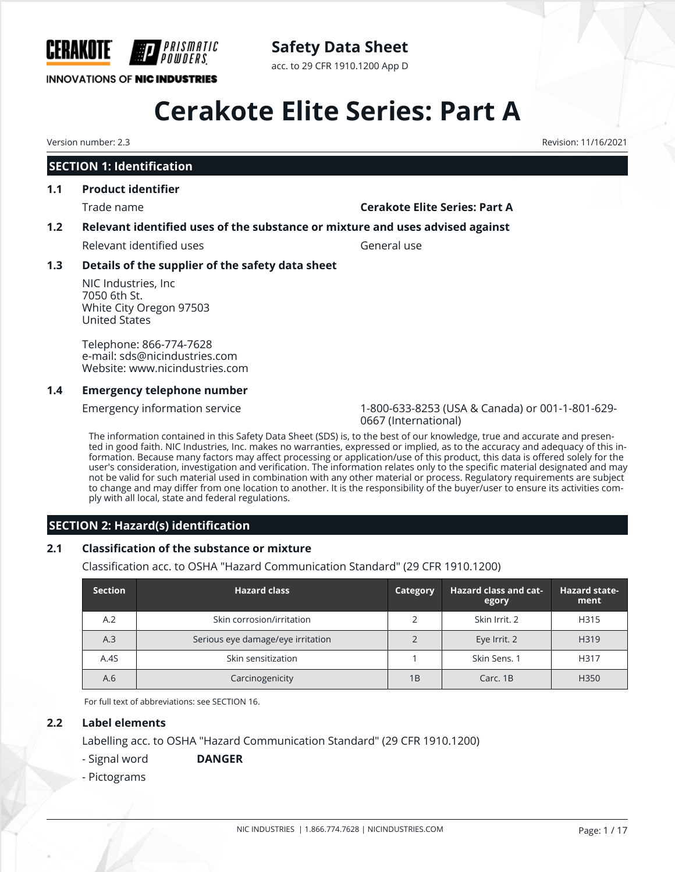

### **Safety Data Sheet**

acc. to 29 CFR 1910.1200 App D

# **Cerakote Elite Series: Part A**

Version number: 2.3 Revision: 11/16/2021

#### **SECTION 1: Identification**

#### **1.1 Product identifier**

#### Trade name **Cerakote Elite Series: Part A**

#### **1.2 Relevant identified uses of the substance or mixture and uses advised against**

Relevant identified uses General use

#### **1.3 Details of the supplier of the safety data sheet**

NIC Industries, Inc 7050 6th St. White City Oregon 97503 United States

Telephone: 866-774-7628 e-mail: sds@nicindustries.com Website: www.nicindustries.com

#### **1.4 Emergency telephone number**

Emergency information service 1-800-633-8253 (USA & Canada) or 001-1-801-629- 0667 (International)

The information contained in this Safety Data Sheet (SDS) is, to the best of our knowledge, true and accurate and presented in good faith. NIC Industries, Inc. makes no warranties, expressed or implied, as to the accuracy and adequacy of this information. Because many factors may affect processing or application/use of this product, this data is offered solely for the user's consideration, investigation and verification. The information relates only to the specific material designated and may not be valid for such material used in combination with any other material or process. Regulatory requirements are subject to change and may differ from one location to another. It is the responsibility of the buyer/user to ensure its activities comply with all local, state and federal regulations.

#### **SECTION 2: Hazard(s) identification**

#### **2.1 Classification of the substance or mixture**

Classification acc. to OSHA "Hazard Communication Standard" (29 CFR 1910.1200)

| <b>Section</b> | <b>Hazard class</b>               | Category | <b>Hazard class and cat-</b><br>egory | <b>Hazard state-</b><br>ment |
|----------------|-----------------------------------|----------|---------------------------------------|------------------------------|
| A.2            | Skin corrosion/irritation         |          | Skin Irrit, 2                         | H315                         |
| A.3            | Serious eye damage/eye irritation |          | Eye Irrit. 2                          | H319                         |
| A.4S           | Skin sensitization                |          | Skin Sens. 1                          | H317                         |
| A.6            | Carcinogenicity                   | 1B       | Carc, 1B                              | H <sub>350</sub>             |

For full text of abbreviations: see SECTION 16.

#### **2.2 Label elements**

Labelling acc. to OSHA "Hazard Communication Standard" (29 CFR 1910.1200)

- Signal word **DANGER**

- Pictograms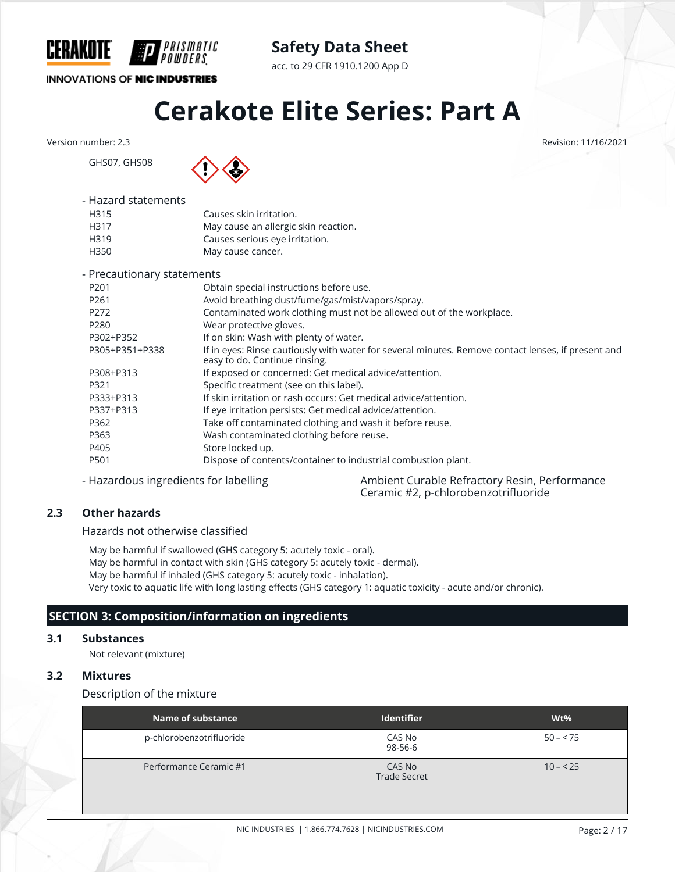

acc. to 29 CFR 1910.1200 App D

#### **INNOVATIONS OF NIC INDUSTRIES**

GHS07, GHS08

## **Cerakote Elite Series: Part A**

Version number: 2.3 Revision: 11/16/2021

*PRISMATIC* 

| - Hazard statements |                                      |
|---------------------|--------------------------------------|
| H315                | Causes skin irritation.              |
| H317                | May cause an allergic skin reaction. |
| H319                | Causes serious eye irritation.       |
| H350                | May cause cancer.                    |
|                     |                                      |

| - Precautionary statements |                                                                                                                                     |
|----------------------------|-------------------------------------------------------------------------------------------------------------------------------------|
| P <sub>201</sub>           | Obtain special instructions before use.                                                                                             |
| P <sub>261</sub>           | Avoid breathing dust/fume/gas/mist/vapors/spray.                                                                                    |
| P <sub>272</sub>           | Contaminated work clothing must not be allowed out of the workplace.                                                                |
| P280                       | Wear protective gloves.                                                                                                             |
| P302+P352                  | If on skin: Wash with plenty of water.                                                                                              |
| P305+P351+P338             | If in eyes: Rinse cautiously with water for several minutes. Remove contact lenses, if present and<br>easy to do. Continue rinsing. |
| P308+P313                  | If exposed or concerned: Get medical advice/attention.                                                                              |
| P321                       | Specific treatment (see on this label).                                                                                             |
| P333+P313                  | If skin irritation or rash occurs: Get medical advice/attention.                                                                    |
| P337+P313                  | If eye irritation persists: Get medical advice/attention.                                                                           |
| P362                       | Take off contaminated clothing and wash it before reuse.                                                                            |
| P363                       | Wash contaminated clothing before reuse.                                                                                            |
| P405                       | Store locked up.                                                                                                                    |
| P501                       | Dispose of contents/container to industrial combustion plant.                                                                       |

- Hazardous ingredients for labelling **Ambient Curable Refractory Resin, Performance** Ceramic #2, p-chlorobenzotrifluoride

#### **2.3 Other hazards**

Hazards not otherwise classified

May be harmful if swallowed (GHS category 5: acutely toxic - oral). May be harmful in contact with skin (GHS category 5: acutely toxic - dermal). May be harmful if inhaled (GHS category 5: acutely toxic - inhalation). Very toxic to aquatic life with long lasting effects (GHS category 1: aquatic toxicity - acute and/or chronic).

#### **SECTION 3: Composition/information on ingredients**

#### **3.1 Substances**

Not relevant (mixture)

#### **3.2 Mixtures**

Description of the mixture

| <b>Name of substance</b> | <b>Identifier</b>             | $Wt\%$    |
|--------------------------|-------------------------------|-----------|
| p-chlorobenzotrifluoride | CAS No<br>98-56-6             | $50 - 75$ |
| Performance Ceramic #1   | CAS No<br><b>Trade Secret</b> | $10 - 25$ |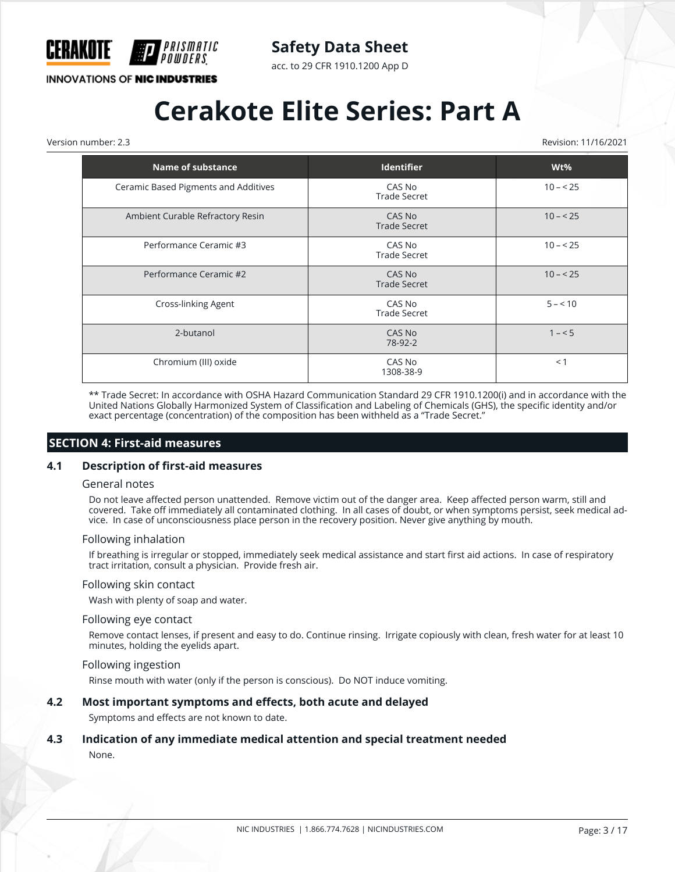

acc. to 29 CFR 1910.1200 App D

**INNOVATIONS OF NIC INDUSTRIES** 

## **Cerakote Elite Series: Part A**

Version number: 2.3 Revision: 11/16/2021

| <b>Name of substance</b>             | <b>Identifier</b>             | Wt%       |
|--------------------------------------|-------------------------------|-----------|
| Ceramic Based Pigments and Additives | CAS No<br><b>Trade Secret</b> | $10 - 25$ |
| Ambient Curable Refractory Resin     | CAS No<br><b>Trade Secret</b> | $10 - 25$ |
| Performance Ceramic #3               | CAS No<br><b>Trade Secret</b> | $10 - 25$ |
| Performance Ceramic #2               | CAS No<br><b>Trade Secret</b> | $10 - 25$ |
| Cross-linking Agent                  | CAS No<br><b>Trade Secret</b> | $5 - 10$  |
| 2-butanol                            | CAS No<br>78-92-2             | $1 - 5$   |
| Chromium (III) oxide                 | CAS No<br>1308-38-9           | $<$ 1     |

\*\* Trade Secret: In accordance with OSHA Hazard Communication Standard 29 CFR 1910.1200(i) and in accordance with the United Nations Globally Harmonized System of Classification and Labeling of Chemicals (GHS), the specific identity and/or exact percentage (concentration) of the composition has been withheld as a "Trade Secret."

#### **SECTION 4: First-aid measures**

#### **4.1 Description of first-aid measures**

#### General notes

Do not leave affected person unattended. Remove victim out of the danger area. Keep affected person warm, still and covered. Take off immediately all contaminated clothing. In all cases of doubt, or when symptoms persist, seek medical advice. In case of unconsciousness place person in the recovery position. Never give anything by mouth.

#### Following inhalation

If breathing is irregular or stopped, immediately seek medical assistance and start first aid actions. In case of respiratory tract irritation, consult a physician. Provide fresh air.

#### Following skin contact

Wash with plenty of soap and water.

#### Following eye contact

Remove contact lenses, if present and easy to do. Continue rinsing. Irrigate copiously with clean, fresh water for at least 10 minutes, holding the eyelids apart.

#### Following ingestion

Rinse mouth with water (only if the person is conscious). Do NOT induce vomiting.

#### **4.2 Most important symptoms and effects, both acute and delayed**

Symptoms and effects are not known to date.

### **4.3 Indication of any immediate medical attention and special treatment needed**

None.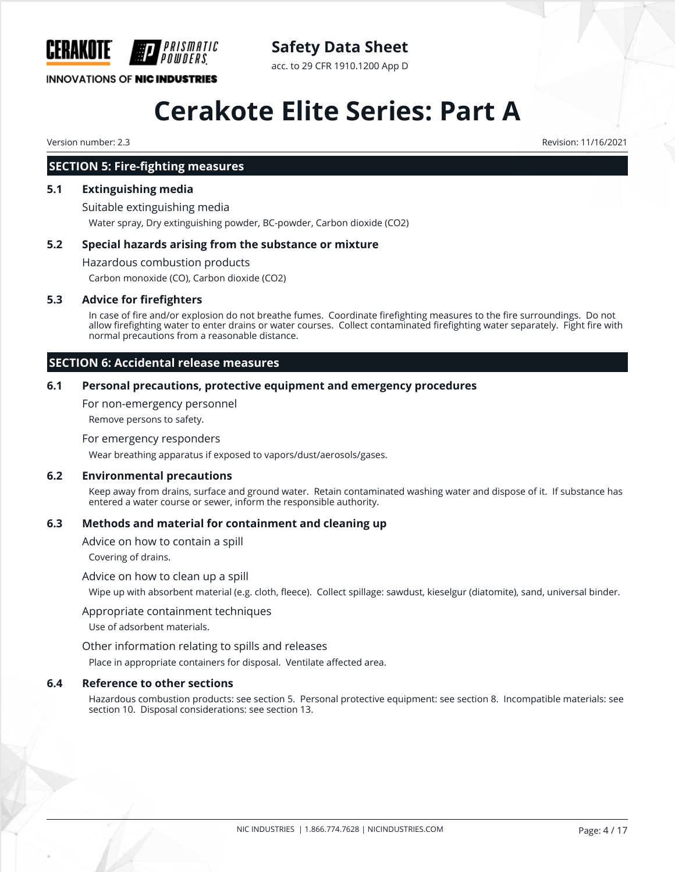

### **Safety Data Sheet**

acc. to 29 CFR 1910.1200 App D

## **Cerakote Elite Series: Part A**

Version number: 2.3 Revision: 11/16/2021

#### **SECTION 5: Fire-fighting measures**

#### **5.1 Extinguishing media**

Suitable extinguishing media Water spray, Dry extinguishing powder, BC-powder, Carbon dioxide (CO2)

#### **5.2 Special hazards arising from the substance or mixture**

Hazardous combustion products Carbon monoxide (CO), Carbon dioxide (CO2)

#### **5.3 Advice for firefighters**

In case of fire and/or explosion do not breathe fumes. Coordinate firefighting measures to the fire surroundings. Do not allow firefighting water to enter drains or water courses. Collect contaminated firefighting water separately. Fight fire with normal precautions from a reasonable distance.

#### **SECTION 6: Accidental release measures**

#### **6.1 Personal precautions, protective equipment and emergency procedures**

For non-emergency personnel

Remove persons to safety.

#### For emergency responders

Wear breathing apparatus if exposed to vapors/dust/aerosols/gases.

#### **6.2 Environmental precautions**

Keep away from drains, surface and ground water. Retain contaminated washing water and dispose of it. If substance has entered a water course or sewer, inform the responsible authority.

#### **6.3 Methods and material for containment and cleaning up**

Advice on how to contain a spill

Covering of drains.

#### Advice on how to clean up a spill

Wipe up with absorbent material (e.g. cloth, fleece). Collect spillage: sawdust, kieselgur (diatomite), sand, universal binder.

#### Appropriate containment techniques

Use of adsorbent materials.

#### Other information relating to spills and releases

Place in appropriate containers for disposal. Ventilate affected area.

#### **6.4 Reference to other sections**

Hazardous combustion products: see section 5. Personal protective equipment: see section 8. Incompatible materials: see section 10. Disposal considerations: see section 13.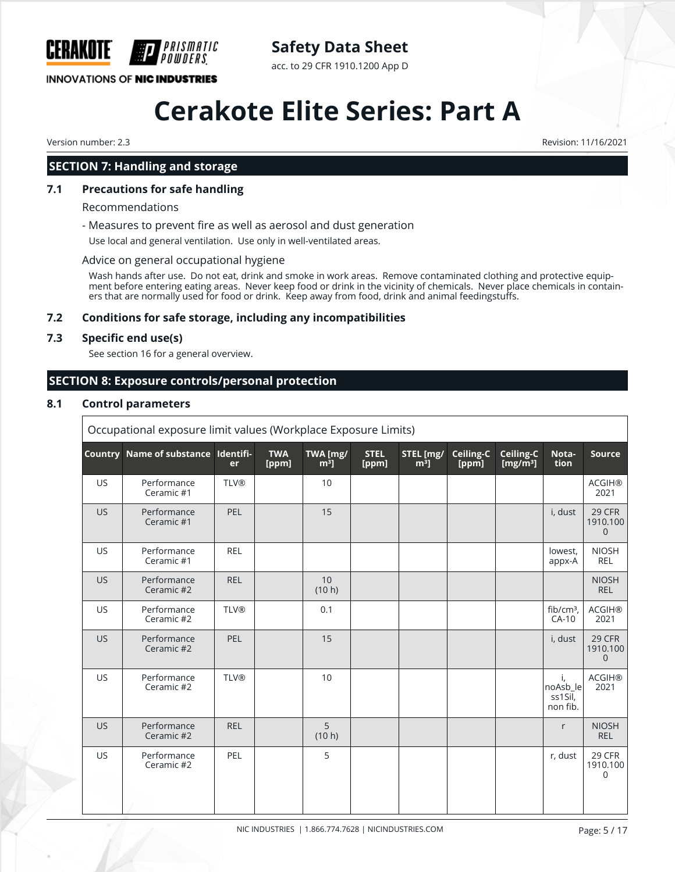

## **Safety Data Sheet**

acc. to 29 CFR 1910.1200 App D

# **Cerakote Elite Series: Part A**

Version number: 2.3 Revision: 11/16/2021

### **SECTION 7: Handling and storage**

#### **7.1 Precautions for safe handling**

Recommendations

- Measures to prevent fire as well as aerosol and dust generation

Use local and general ventilation. Use only in well-ventilated areas.

#### Advice on general occupational hygiene

Wash hands after use. Do not eat, drink and smoke in work areas. Remove contaminated clothing and protective equipment before entering eating areas. Never keep food or drink in the vicinity of chemicals. Never place chemicals in containers that are normally used for food or drink. Keep away from food, drink and animal feedingstuffs.

#### **7.2 Conditions for safe storage, including any incompatibilities**

#### **7.3 Specific end use(s)**

See section 16 for a general overview.

### **SECTION 8: Exposure controls/personal protection**

#### **8.1 Control parameters**

| Occupational exposure limit values (Workplace Exposure Limits) |                                     |             |                     |                    |                      |                     |                    |                          |                                       |                                      |
|----------------------------------------------------------------|-------------------------------------|-------------|---------------------|--------------------|----------------------|---------------------|--------------------|--------------------------|---------------------------------------|--------------------------------------|
|                                                                | Country Name of substance Identifi- | er          | <b>TWA</b><br>[ppm] | TWA [mg/<br>$m3$ ] | <b>STEL</b><br>[ppm] | STEL [mg/<br>$m3$ ] | Ceiling-C<br>[ppm] | Ceiling-C<br>[ $mg/m3$ ] | Nota-<br>tion                         | Source                               |
| <b>US</b>                                                      | Performance<br>Ceramic #1           | <b>TLV®</b> |                     | 10                 |                      |                     |                    |                          |                                       | <b>ACGIH®</b><br>2021                |
| <b>US</b>                                                      | Performance<br>Ceramic #1           | <b>PEL</b>  |                     | 15                 |                      |                     |                    |                          | i, dust                               | 29 CFR<br>1910.100<br>0              |
| US.                                                            | Performance<br>Ceramic #1           | <b>REL</b>  |                     |                    |                      |                     |                    |                          | lowest,<br>appx-A                     | <b>NIOSH</b><br><b>REL</b>           |
| <b>US</b>                                                      | Performance<br>Ceramic #2           | <b>REL</b>  |                     | 10<br>(10 h)       |                      |                     |                    |                          |                                       | <b>NIOSH</b><br><b>REL</b>           |
| <b>US</b>                                                      | Performance<br>Ceramic #2           | <b>TLV®</b> |                     | 0.1                |                      |                     |                    |                          | $fib/cm3$ ,<br>$CA-10$                | <b>ACGIH®</b><br>2021                |
| US.                                                            | Performance<br>Ceramic #2           | <b>PEL</b>  |                     | 15                 |                      |                     |                    |                          | i, dust                               | 29 CFR<br>1910.100<br>$\overline{0}$ |
| US.                                                            | Performance<br>Ceramic #2           | <b>TLV®</b> |                     | 10                 |                      |                     |                    |                          | i,<br>noAsb_le<br>ss1Sil,<br>non fib. | <b>ACGIH®</b><br>2021                |
| US.                                                            | Performance<br>Ceramic #2           | <b>REL</b>  |                     | 5<br>(10 h)        |                      |                     |                    |                          | r                                     | <b>NIOSH</b><br><b>REL</b>           |
| <b>US</b>                                                      | Performance<br>Ceramic #2           | PEL         |                     | 5                  |                      |                     |                    |                          | r, dust                               | 29 CFR<br>1910.100<br>$\Omega$       |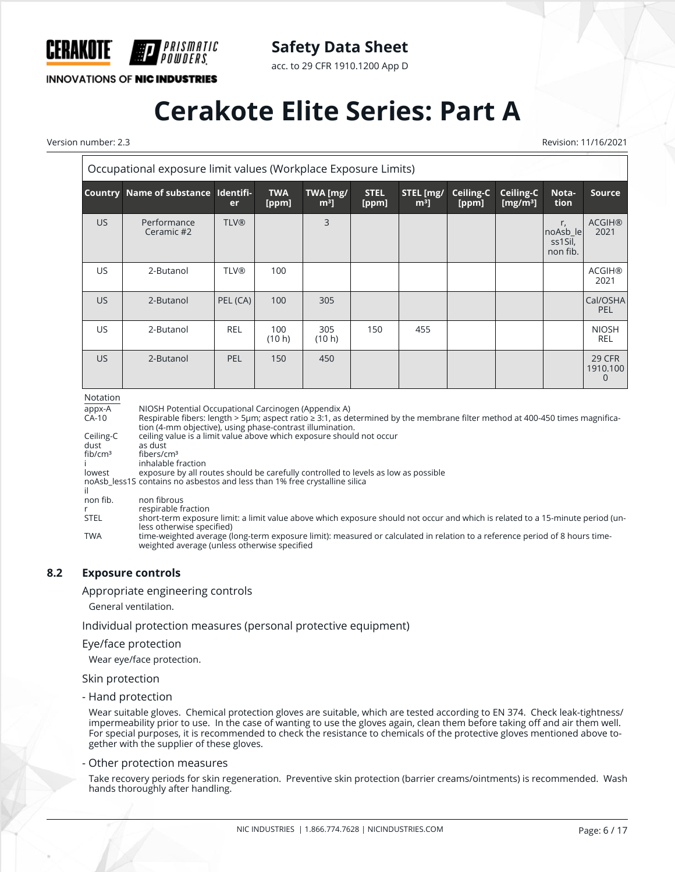

acc. to 29 CFR 1910.1200 App D

**INNOVATIONS OF NIC INDUSTRIES** 

*PRISMATIC<br>POWDFRS* 

## **Cerakote Elite Series: Part A**

Version number: 2.3 Revision: 11/16/2021

| Occupational exposure limit values (Workplace Exposure Limits) |                                                                                                                                                                                                                                                      |             |                     |                    |                      |                     |                    |                          |                                       |                                |
|----------------------------------------------------------------|------------------------------------------------------------------------------------------------------------------------------------------------------------------------------------------------------------------------------------------------------|-------------|---------------------|--------------------|----------------------|---------------------|--------------------|--------------------------|---------------------------------------|--------------------------------|
| <b>Country</b>                                                 | Name of substance Identifi-                                                                                                                                                                                                                          | <b>er</b>   | <b>TWA</b><br>[ppm] | TWA [mg/<br>$m3$ ] | <b>STEL</b><br>[ppm] | STEL [mg/<br>$m3$ ] | Ceiling-C<br>[ppm] | Ceiling-C<br>[ $mg/m3$ ] | Nota-<br>tion                         | <b>Source</b>                  |
| US.                                                            | Performance<br>Ceramic #2                                                                                                                                                                                                                            | <b>TLV®</b> |                     | 3                  |                      |                     |                    |                          | r,<br>noAsb le<br>ss1Sil,<br>non fib. | <b>ACGIH®</b><br>2021          |
| <b>US</b>                                                      | 2-Butanol                                                                                                                                                                                                                                            | <b>TLV®</b> | 100                 |                    |                      |                     |                    |                          |                                       | <b>ACGIH®</b><br>2021          |
| <b>US</b>                                                      | 2-Butanol                                                                                                                                                                                                                                            | PEL (CA)    | 100                 | 305                |                      |                     |                    |                          |                                       | Cal/OSHA<br>PEL                |
| US.                                                            | 2-Butanol                                                                                                                                                                                                                                            | <b>REL</b>  | 100<br>(10 h)       | 305<br>(10 h)      | 150                  | 455                 |                    |                          |                                       | <b>NIOSH</b><br><b>REL</b>     |
| US.                                                            | 2-Butanol                                                                                                                                                                                                                                            | PEL         | 150                 | 450                |                      |                     |                    |                          |                                       | <b>29 CFR</b><br>1910.100<br>0 |
| Notation<br>appx-A<br>$CA-10$                                  | NIOSH Potential Occupational Carcinogen (Appendix A)<br>Respirable fibers: length > 5µm; aspect ratio $\geq$ 3:1, as determined by the membrane filter method at 400-450 times magnifica-<br>tion (A-mm objective) using phase-contrast illumination |             |                     |                    |                      |                     |                    |                          |                                       |                                |

tion (4-mm objective), using phase-contrast illumination.

Ceiling-C ceiling value is a limit value above which exposure should not occur dust as dust<br>fib/cm<sup>3</sup> fibers/ci

fibers/cm<sup>3</sup>

i inhalable fraction<br>lowest exposure by all ro

exposure by all routes should be carefully controlled to levels as low as possible

noAsb\_less1S contains no asbestos and less than 1% free crystalline silica

il<br>non fib. non fibrous

r respirable fraction<br>STEL short-term exposui short-term exposure limit: a limit value above which exposure should not occur and which is related to a 15-minute period (unless otherwise specified)

TWA time-weighted average (long-term exposure limit): measured or calculated in relation to a reference period of 8 hours timeweighted average (unless otherwise specified

#### **8.2 Exposure controls**

Appropriate engineering controls

General ventilation.

Individual protection measures (personal protective equipment)

#### Eye/face protection

Wear eye/face protection.

#### Skin protection

- Hand protection

Wear suitable gloves. Chemical protection gloves are suitable, which are tested according to EN 374. Check leak-tightness/ impermeability prior to use. In the case of wanting to use the gloves again, clean them before taking off and air them well. For special purposes, it is recommended to check the resistance to chemicals of the protective gloves mentioned above together with the supplier of these gloves.

#### - Other protection measures

Take recovery periods for skin regeneration. Preventive skin protection (barrier creams/ointments) is recommended. Wash hands thoroughly after handling.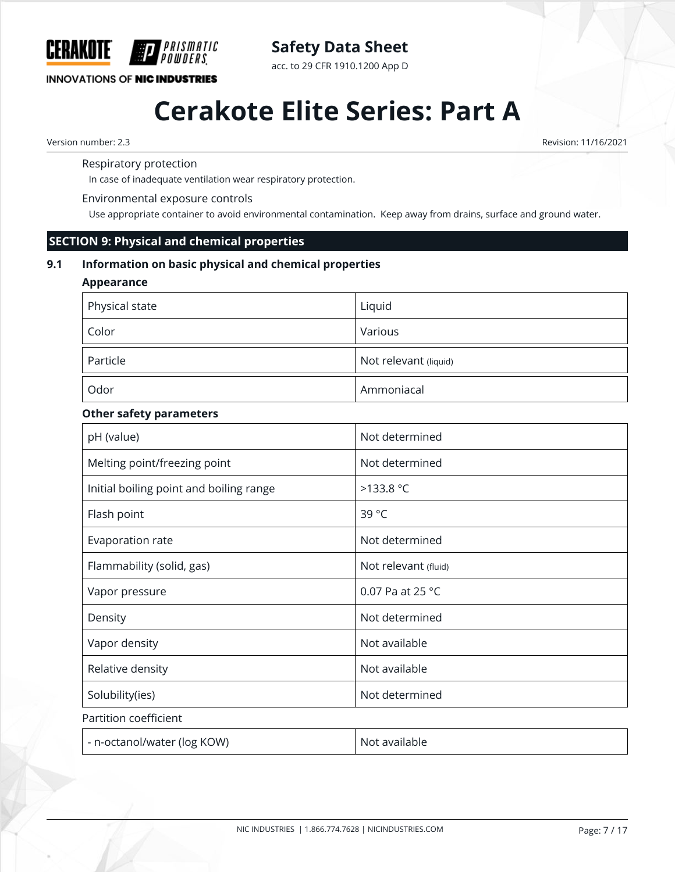

acc. to 29 CFR 1910.1200 App D

**INNOVATIONS OF NIC INDUSTRIES** 

## **Cerakote Elite Series: Part A**

Version number: 2.3 Revision: 11/16/2021

Respiratory protection

In case of inadequate ventilation wear respiratory protection.

#### Environmental exposure controls

*PRISMATIC* 

Use appropriate container to avoid environmental contamination. Keep away from drains, surface and ground water.

#### **SECTION 9: Physical and chemical properties**

#### **9.1 Information on basic physical and chemical properties**

#### **Appearance**

| Physical state | Liquid                |
|----------------|-----------------------|
| Color          | Various               |
| Particle       | Not relevant (liquid) |
| Odor           | Ammoniacal            |

#### **Other safety parameters**

| pH (value)                              | Not determined             |
|-----------------------------------------|----------------------------|
| Melting point/freezing point            | Not determined             |
| Initial boiling point and boiling range | >133.8 °C                  |
| Flash point                             | 39 °C                      |
| Evaporation rate                        | Not determined             |
| Flammability (solid, gas)               | Not relevant (fluid)       |
| Vapor pressure                          | 0.07 Pa at 25 $^{\circ}$ C |
| Density                                 | Not determined             |
| Vapor density                           | Not available              |
| Relative density                        | Not available              |
| Solubility(ies)                         | Not determined             |
| Partition coefficient                   |                            |
| - n-octanol/water (log KOW)             | Not available              |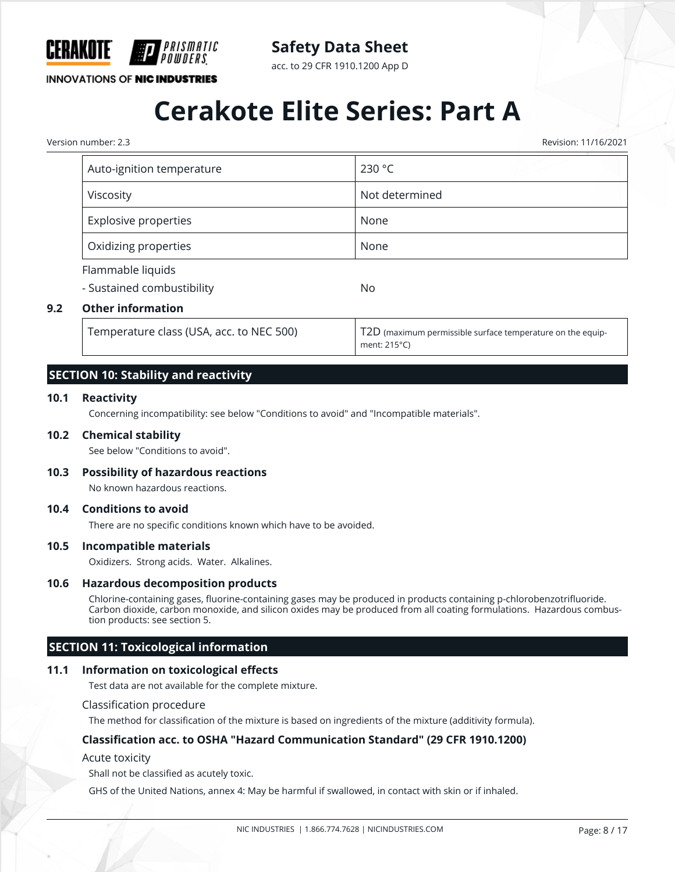

acc. to 29 CFR 1910.1200 App D

**INNOVATIONS OF NIC INDUSTRIES** 

## **Cerakote Elite Series: Part A**

Version number: 2.3 Revision: 11/16/2021

|     | Auto-ignition temperature                       | 230 °C                                                                     |
|-----|-------------------------------------------------|----------------------------------------------------------------------------|
|     | Viscosity                                       | Not determined                                                             |
|     | <b>Explosive properties</b>                     | None                                                                       |
|     | Oxidizing properties                            | None                                                                       |
|     | Flammable liquids<br>- Sustained combustibility | <b>No</b>                                                                  |
| 9.2 | <b>Other information</b>                        |                                                                            |
|     | Temperature class (USA, acc. to NEC 500)        | T2D (maximum permissible surface temperature on the equip-<br>ment: 215°C) |

#### **SECTION 10: Stability and reactivity**

#### **10.1 Reactivity**

Concerning incompatibility: see below "Conditions to avoid" and "Incompatible materials".

#### **10.2 Chemical stability**

See below "Conditions to avoid".

#### **10.3 Possibility of hazardous reactions**

No known hazardous reactions.

#### **10.4 Conditions to avoid**

There are no specific conditions known which have to be avoided.

#### **10.5 Incompatible materials**

Oxidizers. Strong acids. Water. Alkalines.

#### **10.6 Hazardous decomposition products**

Chlorine-containing gases, fluorine-containing gases may be produced in products containing p-chlorobenzotrifluoride. Carbon dioxide, carbon monoxide, and silicon oxides may be produced from all coating formulations. Hazardous combustion products: see section 5.

#### **SECTION 11: Toxicological information**

#### **11.1 Information on toxicological effects**

Test data are not available for the complete mixture.

#### Classification procedure

The method for classification of the mixture is based on ingredients of the mixture (additivity formula).

#### **Classification acc. to OSHA "Hazard Communication Standard" (29 CFR 1910.1200)**

Acute toxicity

Shall not be classified as acutely toxic.

GHS of the United Nations, annex 4: May be harmful if swallowed, in contact with skin or if inhaled.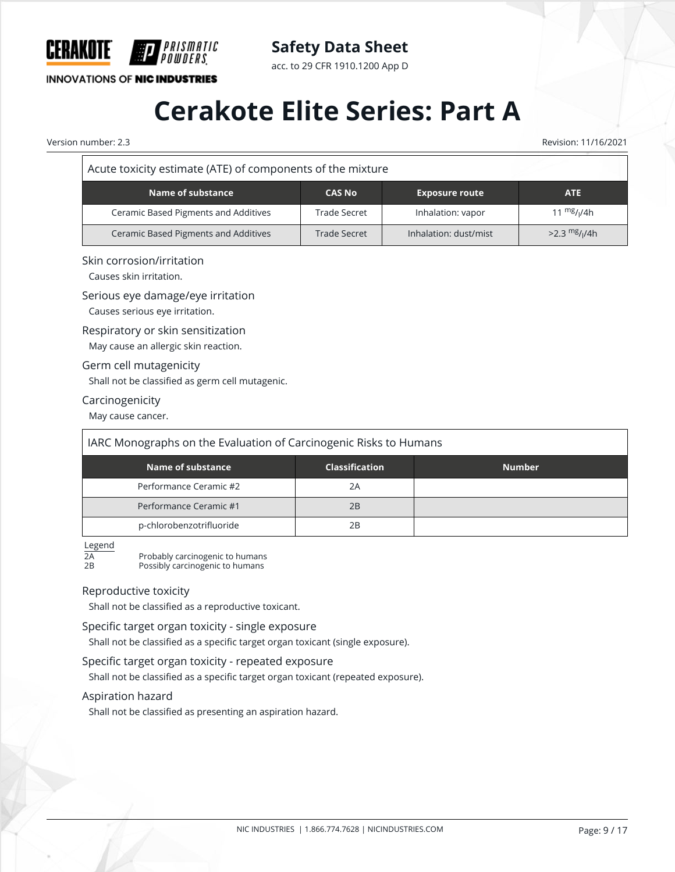

**INNOVATIONS OF NIC INDUSTRIES** 

acc. to 29 CFR 1910.1200 App D

## **Cerakote Elite Series: Part A**

Version number: 2.3 Revision: 11/16/2021

#### Acute toxicity estimate (ATE) of components of the mixture

| Name of substance                    | <b>CAS No</b> | <b>Exposure route</b> | <b>ATE</b>                  |
|--------------------------------------|---------------|-----------------------|-----------------------------|
| Ceramic Based Pigments and Additives | Trade Secret  | Inhalation: vapor     | 11 $mg/1/4h$                |
| Ceramic Based Pigments and Additives | Trade Secret  | Inhalation: dust/mist | $>2.3$ mg/ <sub>I</sub> /4h |

#### Skin corrosion/irritation

Causes skin irritation.

#### Serious eye damage/eye irritation

Causes serious eye irritation.

#### Respiratory or skin sensitization

May cause an allergic skin reaction.

#### Germ cell mutagenicity

Shall not be classified as germ cell mutagenic.

#### Carcinogenicity

May cause cancer.

| IARC Monographs on the Evaluation of Carcinogenic Risks to Humans |                       |               |  |  |  |  |
|-------------------------------------------------------------------|-----------------------|---------------|--|--|--|--|
| Name of substance                                                 | <b>Classification</b> | <b>Number</b> |  |  |  |  |
| Performance Ceramic #2                                            | 2A                    |               |  |  |  |  |
| Performance Ceramic #1                                            | 2B                    |               |  |  |  |  |
| p-chlorobenzotrifluoride                                          | 2Β                    |               |  |  |  |  |

 $\frac{\text{Legend}}{\text{2A}} \\ \text{2B}$ Probably carcinogenic to humans

Possibly carcinogenic to humans

#### Reproductive toxicity

Shall not be classified as a reproductive toxicant.

#### Specific target organ toxicity - single exposure

Shall not be classified as a specific target organ toxicant (single exposure).

#### Specific target organ toxicity - repeated exposure

Shall not be classified as a specific target organ toxicant (repeated exposure).

#### Aspiration hazard

Shall not be classified as presenting an aspiration hazard.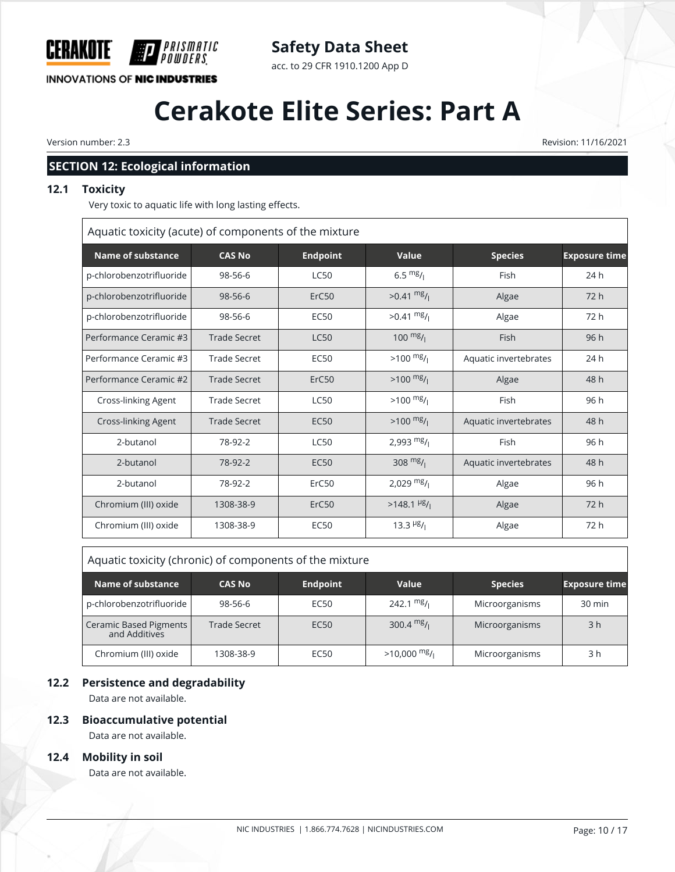

### **Safety Data Sheet**

acc. to 29 CFR 1910.1200 App D

## **Cerakote Elite Series: Part A**

Version number: 2.3 Revision: 11/16/2021

#### **SECTION 12: Ecological information**

#### **12.1 Toxicity**

Very toxic to aquatic life with long lasting effects.

Aquatic toxicity (acute) of components of the mixture

| <b>Name of substance</b>   | <b>CAS No</b>       | <b>Endpoint</b>   | Value                                 | <b>Species</b>        | <b>Exposure time</b> |
|----------------------------|---------------------|-------------------|---------------------------------------|-----------------------|----------------------|
| p-chlorobenzotrifluoride   | 98-56-6             | <b>LC50</b>       | $6.5 \frac{mg}{l}$                    | Fish                  | 24 h                 |
| p-chlorobenzotrifluoride   | $98 - 56 - 6$       | ErC <sub>50</sub> | $>0.41$ mg/                           | Algae                 | 72 h                 |
| p-chlorobenzotrifluoride   | 98-56-6             | <b>EC50</b>       | $>0.41 \frac{mg}{l}$                  | Algae                 | 72 h                 |
| Performance Ceramic #3     | <b>Trade Secret</b> | <b>LC50</b>       | $100 \frac{mg}{l}$                    | Fish                  | 96 h                 |
| Performance Ceramic #3     | <b>Trade Secret</b> | <b>EC50</b>       | $>100$ mg/                            | Aquatic invertebrates | 24 h                 |
| Performance Ceramic #2     | <b>Trade Secret</b> | ErC50             | $>100$ mg/                            | Algae                 | 48 h                 |
| <b>Cross-linking Agent</b> | <b>Trade Secret</b> | <b>LC50</b>       | $>100$ mg/                            | Fish                  | 96 h                 |
| <b>Cross-linking Agent</b> | Trade Secret        | <b>EC50</b>       | $>100$ mg/                            | Aquatic invertebrates | 48 h                 |
| 2-butanol                  | 78-92-2             | <b>LC50</b>       | 2,993 $mg/$                           | Fish                  | 96 h                 |
| 2-butanol                  | 78-92-2             | <b>EC50</b>       | 308 $mg/1$                            | Aquatic invertebrates | 48 h                 |
| 2-butanol                  | 78-92-2             | ErC50             | 2,029 $mg/1$                          | Algae                 | 96 h                 |
| Chromium (III) oxide       | 1308-38-9           | ErC50             | $>148.1$ <sup>µg</sup> / <sub>1</sub> | Algae                 | 72h                  |
| Chromium (III) oxide       | 1308-38-9           | <b>EC50</b>       | 13.3 $\frac{\mu g}{\mu}$              | Algae                 | 72 h                 |

| Aquatic toxicity (chronic) of components of the mixture |               |                  |               |                |                      |
|---------------------------------------------------------|---------------|------------------|---------------|----------------|----------------------|
| Name of substance                                       | <b>CAS No</b> | <b>Endpoint</b>  | Value         | <b>Species</b> | <b>Exposure time</b> |
| p-chlorobenzotrifluoride                                | 98-56-6       | EC <sub>50</sub> | 242.1 $mg/1$  | Microorganisms | $30 \text{ min}$     |
| Ceramic Based Pigments<br>and Additives                 | Trade Secret  | EC <sub>50</sub> | 300.4 $mg/1$  | Microorganisms | 3 <sub>h</sub>       |
| Chromium (III) oxide                                    | 1308-38-9     | EC50             | $>10,000$ mg/ | Microorganisms | 3 h                  |

#### **12.2 Persistence and degradability**

Data are not available.

#### **12.3 Bioaccumulative potential**

Data are not available.

#### **12.4 Mobility in soil**

Data are not available.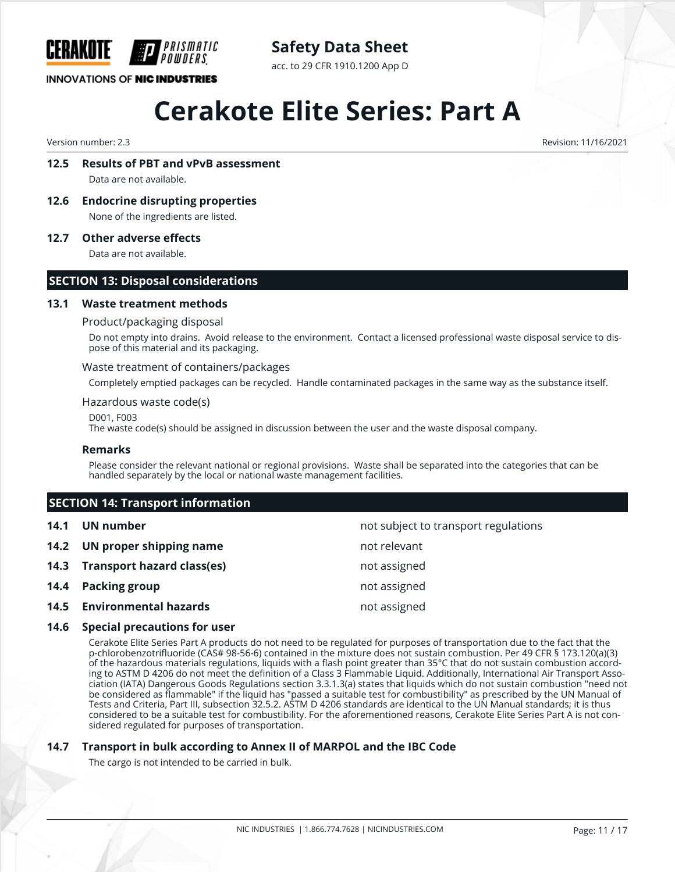

### **Safety Data Sheet**

acc. to 29 CFR 1910.1200 App D

## **Cerakote Elite Series: Part A**

Version number: 2.3 Revision: 11/16/2021

#### **12.5 Results of PBT and vPvB assessment**

Data are not available.

**12.6 Endocrine disrupting properties** None of the ingredients are listed.

**12.7 Other adverse effects**

Data are not available.

#### **SECTION 13: Disposal considerations**

#### **13.1 Waste treatment methods**

#### Product/packaging disposal

Do not empty into drains. Avoid release to the environment. Contact a licensed professional waste disposal service to dispose of this material and its packaging.

#### Waste treatment of containers/packages

Completely emptied packages can be recycled. Handle contaminated packages in the same way as the substance itself.

#### Hazardous waste code(s)

D001, F003

The waste code(s) should be assigned in discussion between the user and the waste disposal company.

#### **Remarks**

Please consider the relevant national or regional provisions. Waste shall be separated into the categories that can be handled separately by the local or national waste management facilities.

#### **SECTION 14: Transport information**

| 14.1 | UN number                       | not subject to transport regulations |
|------|---------------------------------|--------------------------------------|
|      | 14.2 UN proper shipping name    | not relevant                         |
|      | 14.3 Transport hazard class(es) | not assigned                         |
|      | 14.4 Packing group              | not assigned                         |
|      | 14.5 Environmental hazards      | not assigned                         |

#### **14.6 Special precautions for user**

Cerakote Elite Series Part A products do not need to be regulated for purposes of transportation due to the fact that the p-chlorobenzotrifluoride (CAS# 98-56-6) contained in the mixture does not sustain combustion. Per 49 CFR § 173.120(a)(3) of the hazardous materials regulations, liquids with a flash point greater than 35°C that do not sustain combustion according to ASTM D 4206 do not meet the definition of a Class 3 Flammable Liquid. Additionally, International Air Transport Association (IATA) Dangerous Goods Regulations section 3.3.1.3(a) states that liquids which do not sustain combustion "need not be considered as flammable" if the liquid has "passed a suitable test for combustibility" as prescribed by the UN Manual of Tests and Criteria, Part III, subsection 32.5.2. ASTM D 4206 standards are identical to the UN Manual standards; it is thus considered to be a suitable test for combustibility. For the aforementioned reasons, Cerakote Elite Series Part A is not considered regulated for purposes of transportation.

#### **14.7 Transport in bulk according to Annex II of MARPOL and the IBC Code**

The cargo is not intended to be carried in bulk.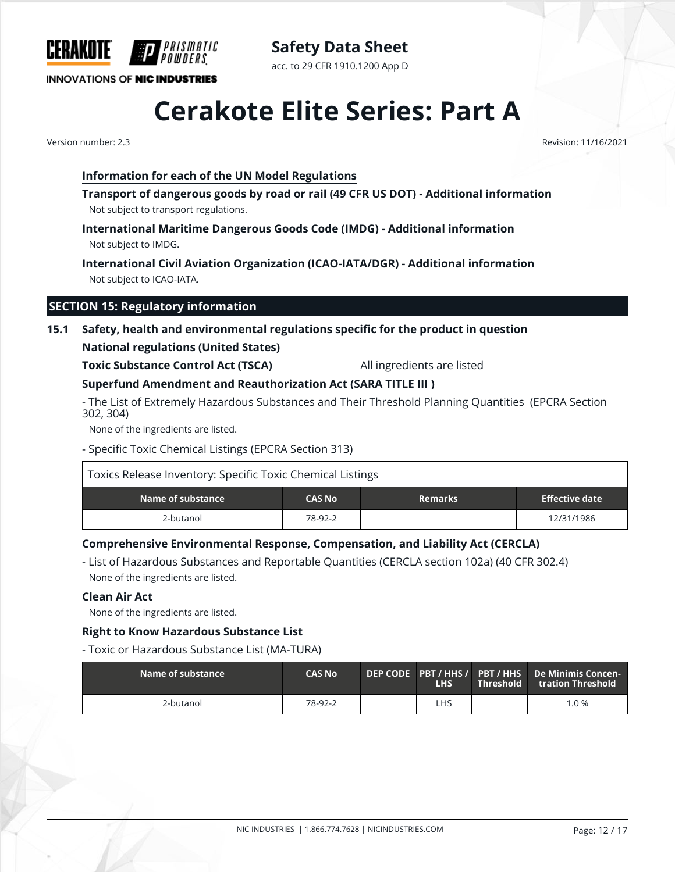

**Safety Data Sheet** acc. to 29 CFR 1910.1200 App D

## **Cerakote Elite Series: Part A**

Version number: 2.3 Revision: 11/16/2021

#### **Information for each of the UN Model Regulations**

PRISMATIC

**Transport of dangerous goods by road or rail (49 CFR US DOT) - Additional information** Not subject to transport regulations.

**International Maritime Dangerous Goods Code (IMDG) - Additional information** Not subject to IMDG.

**International Civil Aviation Organization (ICAO-IATA/DGR) - Additional information** Not subject to ICAO-IATA.

#### **SECTION 15: Regulatory information**

### **15.1 Safety, health and environmental regulations specific for the product in question**

#### **National regulations (United States)**

**Toxic Substance Control Act (TSCA)** All ingredients are listed

#### **Superfund Amendment and Reauthorization Act (SARA TITLE III )**

- The List of Extremely Hazardous Substances and Their Threshold Planning Quantities (EPCRA Section 302, 304)

None of the ingredients are listed.

- Specific Toxic Chemical Listings (EPCRA Section 313)

| Toxics Release Inventory: Specific Toxic Chemical Listings |               |                |                       |
|------------------------------------------------------------|---------------|----------------|-----------------------|
| Name of substance                                          | <b>CAS No</b> | <b>Remarks</b> | <b>Effective date</b> |
| 2-butanol                                                  | 78-92-2       |                | 12/31/1986            |

#### **Comprehensive Environmental Response, Compensation, and Liability Act (CERCLA)**

- List of Hazardous Substances and Reportable Quantities (CERCLA section 102a) (40 CFR 302.4) None of the ingredients are listed.

#### **Clean Air Act**

None of the ingredients are listed.

#### **Right to Know Hazardous Substance List**

- Toxic or Hazardous Substance List (MA-TURA)

| $\blacksquare$ Name of substance $\blacksquare$ | <b>CAS No</b> | <b>LHS</b> | $\blacksquare$ Threshold $\blacksquare$ | DEP CODE PBT / HHS / PBT / HHS De Minimis Concen-<br>tration Threshold |
|-------------------------------------------------|---------------|------------|-----------------------------------------|------------------------------------------------------------------------|
| 2-butanol                                       | 78-92-2       | LHS        |                                         | $1.0\%$                                                                |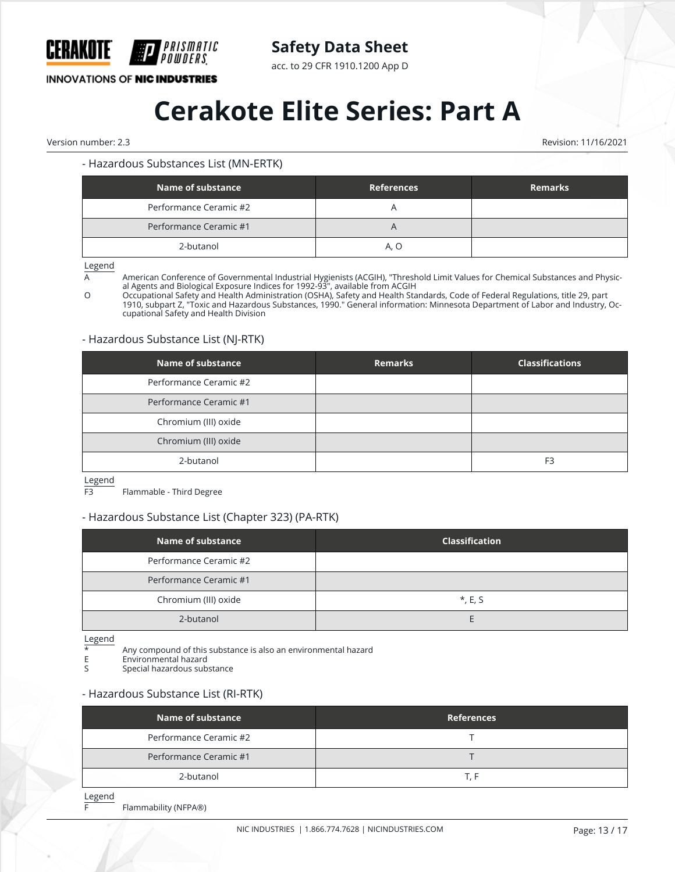

acc. to 29 CFR 1910.1200 App D

#### **INNOVATIONS OF NIC INDUSTRIES**

## **Cerakote Elite Series: Part A**

Version number: 2.3 Revision: 11/16/2021

#### - Hazardous Substances List (MN-ERTK)

| Name of substance      | <b>References</b> | <b>Remarks</b> |
|------------------------|-------------------|----------------|
| Performance Ceramic #2 |                   |                |
| Performance Ceramic #1 | $\overline{A}$    |                |
| 2-butanol              | A. O              |                |

Legend

A **American Conference of Governmental Industrial Hygienists (ACGIH)**, "Threshold Limit Values for Chemical Substances and Physical Agents and Biological Exposure Indices for 1992-93", available from ACGIH

O Occupational Safety and Health Administration (OSHA), Safety and Health Standards, Code of Federal Regulations, title 29, part 1910, subpart Z, "Toxic and Hazardous Substances, 1990." General information: Minnesota Department of Labor and Industry, Occupational Safety and Health Division

#### - Hazardous Substance List (NJ-RTK)

| <b>Name of substance</b> | <b>Remarks</b> | <b>Classifications</b> |
|--------------------------|----------------|------------------------|
| Performance Ceramic #2   |                |                        |
| Performance Ceramic #1   |                |                        |
| Chromium (III) oxide     |                |                        |
| Chromium (III) oxide     |                |                        |
| 2-butanol                |                | F <sub>3</sub>         |

Legend<br>F3

Flammable - Third Degree

#### - Hazardous Substance List (Chapter 323) (PA-RTK)

| Name of substance      | <b>Classification</b> |
|------------------------|-----------------------|
| Performance Ceramic #2 |                       |
| Performance Ceramic #1 |                       |
| Chromium (III) oxide   | $*, E, S$             |
| 2-butanol              |                       |

 $\frac{\text{Legend}}{\star}$ 

\* Any compound of this substance is also an environmental hazard

E Environmental hazard<br>Special hazardous sub

Special hazardous substance

#### - Hazardous Substance List (RI-RTK)

| Name of substance      | <b>References</b> |
|------------------------|-------------------|
| Performance Ceramic #2 |                   |
| Performance Ceramic #1 |                   |
| 2-butanol              | I H               |

Legend

F Flammability (NFPA®)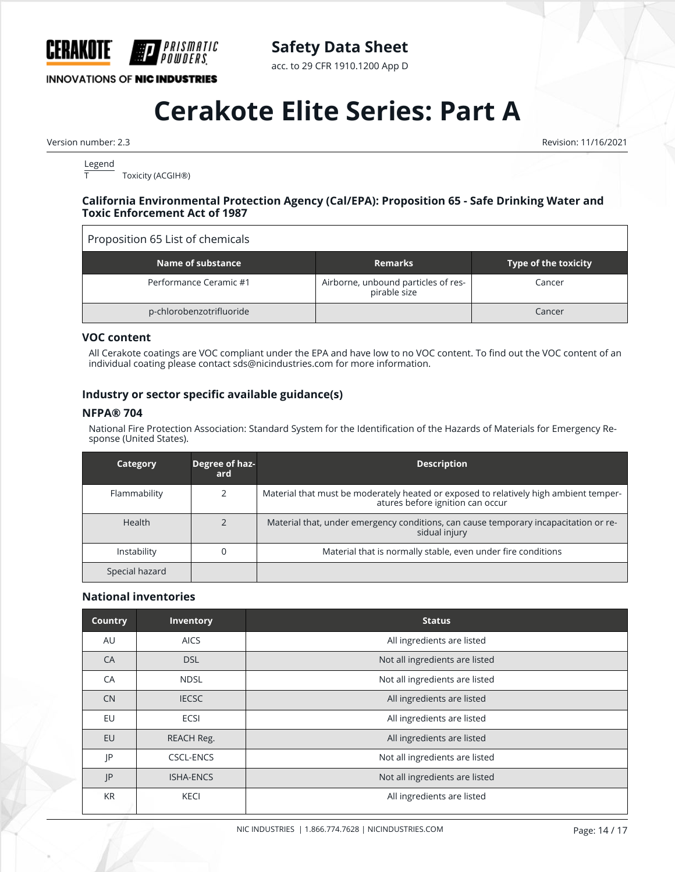

acc. to 29 CFR 1910.1200 App D

#### **INNOVATIONS OF NIC INDUSTRIES**

## **Cerakote Elite Series: Part A**

Version number: 2.3 Revision: 11/16/2021

 $\frac{\text{Legend}}{\text{T}}$ Toxicity (ACGIH®)

#### **California Environmental Protection Agency (Cal/EPA): Proposition 65 - Safe Drinking Water and Toxic Enforcement Act of 1987**

#### Proposition 65 List of chemicals

| Name of substance        | <b>Remarks</b>                                      | <b>Type of the toxicity</b> |
|--------------------------|-----------------------------------------------------|-----------------------------|
| Performance Ceramic #1   | Airborne, unbound particles of res-<br>pirable size | Cancer                      |
| p-chlorobenzotrifluoride |                                                     | Cancer                      |

#### **VOC content**

All Cerakote coatings are VOC compliant under the EPA and have low to no VOC content. To find out the VOC content of an individual coating please contact sds@nicindustries.com for more information.

#### **Industry or sector specific available guidance(s)**

#### **NFPA® 704**

National Fire Protection Association: Standard System for the Identification of the Hazards of Materials for Emergency Response (United States).

| Category       | Degree of haz-<br>ard | <b>Description</b>                                                                                                        |
|----------------|-----------------------|---------------------------------------------------------------------------------------------------------------------------|
| Flammability   |                       | Material that must be moderately heated or exposed to relatively high ambient temper-<br>atures before ignition can occur |
| <b>Health</b>  |                       | Material that, under emergency conditions, can cause temporary incapacitation or re-<br>sidual injury                     |
| Instability    |                       | Material that is normally stable, even under fire conditions                                                              |
| Special hazard |                       |                                                                                                                           |

#### **National inventories**

| <b>Country</b> | <b>Inventory</b> | <b>Status</b>                  |
|----------------|------------------|--------------------------------|
| AU             | <b>AICS</b>      | All ingredients are listed     |
| CA             | <b>DSL</b>       | Not all ingredients are listed |
| CA             | <b>NDSL</b>      | Not all ingredients are listed |
| <b>CN</b>      | <b>IECSC</b>     | All ingredients are listed     |
| EU             | ECSI             | All ingredients are listed     |
| <b>EU</b>      | REACH Reg.       | All ingredients are listed     |
| JP             | <b>CSCL-ENCS</b> | Not all ingredients are listed |
| JP             | <b>ISHA-ENCS</b> | Not all ingredients are listed |
| <b>KR</b>      | <b>KECI</b>      | All ingredients are listed     |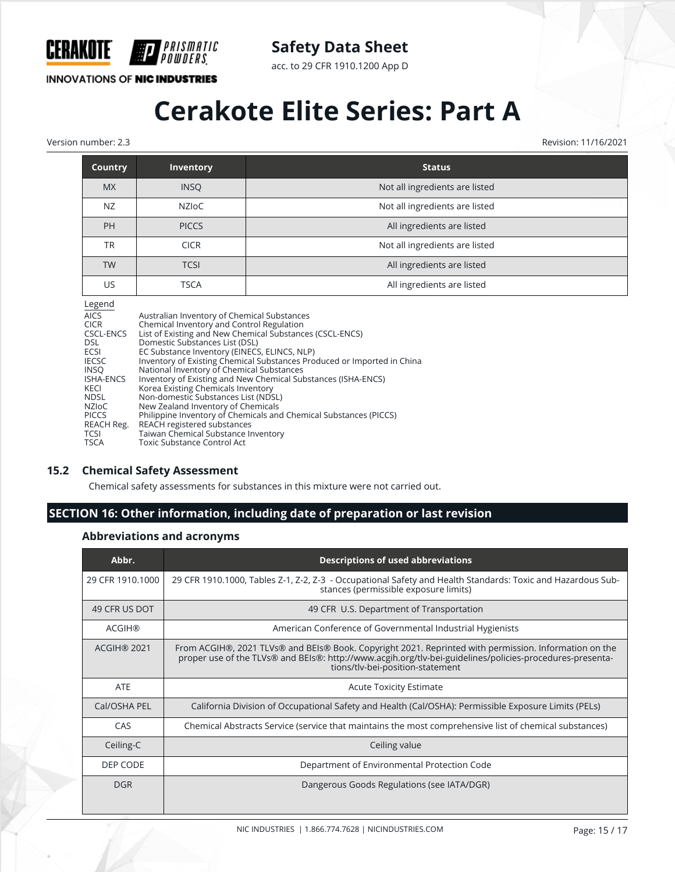

acc. to 29 CFR 1910.1200 App D

**INNOVATIONS OF NIC INDUSTRIES** 

PRISMATIC 'OWDERS

## **Cerakote Elite Series: Part A**

Version number: 2.3 Revision: 11/16/2021

| <b>Country</b> | <b>Inventory</b> | <b>Status</b>                  |
|----------------|------------------|--------------------------------|
| <b>MX</b>      | <b>INSO</b>      | Not all ingredients are listed |
| NZ             | NZIoC            | Not all ingredients are listed |
| PH             | <b>PICCS</b>     | All ingredients are listed     |
| TR             | <b>CICR</b>      | Not all ingredients are listed |
| <b>TW</b>      | <b>TCSI</b>      | All ingredients are listed     |
| US             | <b>TSCA</b>      | All ingredients are listed     |

|--|

| regena       |                                                                         |
|--------------|-------------------------------------------------------------------------|
| <b>AICS</b>  | Australian Inventory of Chemical Substances                             |
| CICR         | Chemical Inventory and Control Regulation                               |
| CSCL-ENCS    | List of Existing and New Chemical Substances (CSCL-ENCS)                |
| DSL.         | Domestic Substances List (DSL)                                          |
| ECSI         | EC Substance Inventory (EINECS, ELINCS, NLP)                            |
| <b>IECSC</b> | Inventory of Existing Chemical Substances Produced or Imported in China |
| INSO         | National Inventory of Chemical Substances                               |
| ISHA-ENCS    | Inventory of Existing and New Chemical Substances (ISHA-ENCS)           |
| KECI         | Korea Existing Chemicals Inventory                                      |
| NDSL         | Non-domestic Substances List (NDSL)                                     |
| NZIoC        | New Zealand Inventory of Chemicals                                      |
| <b>PICCS</b> | Philippine Inventory of Chemicals and Chemical Substances (PICCS)       |
| REACH Reg.   | REACH registered substances                                             |
| TCSI         | Taiwan Chemical Substance Inventory                                     |
| TSCA         | <b>Toxic Substance Control Act</b>                                      |
|              |                                                                         |

#### **15.2 Chemical Safety Assessment**

Chemical safety assessments for substances in this mixture were not carried out.

#### **SECTION 16: Other information, including date of preparation or last revision**

#### **Abbreviations and acronyms**

| Abbr.              | <b>Descriptions of used abbreviations</b>                                                                                                                                                                                                             |
|--------------------|-------------------------------------------------------------------------------------------------------------------------------------------------------------------------------------------------------------------------------------------------------|
| 29 CFR 1910.1000   | 29 CFR 1910.1000, Tables Z-1, Z-2, Z-3 - Occupational Safety and Health Standards: Toxic and Hazardous Sub-<br>stances (permissible exposure limits)                                                                                                  |
| 49 CFR US DOT      | 49 CFR U.S. Department of Transportation                                                                                                                                                                                                              |
| <b>ACGIH®</b>      | American Conference of Governmental Industrial Hygienists                                                                                                                                                                                             |
| <b>ACGIH® 2021</b> | From ACGIH®, 2021 TLVs® and BEIs® Book. Copyright 2021. Reprinted with permission. Information on the<br>proper use of the TLVs® and BEIs®: http://www.acgih.org/tlv-bei-guidelines/policies-procedures-presenta-<br>tions/tlv-bei-position-statement |
| <b>ATE</b>         | <b>Acute Toxicity Estimate</b>                                                                                                                                                                                                                        |
| Cal/OSHA PEL       | California Division of Occupational Safety and Health (Cal/OSHA): Permissible Exposure Limits (PELs)                                                                                                                                                  |
| CAS                | Chemical Abstracts Service (service that maintains the most comprehensive list of chemical substances)                                                                                                                                                |
| Ceiling-C          | Ceiling value                                                                                                                                                                                                                                         |
| DEP CODE           | Department of Environmental Protection Code                                                                                                                                                                                                           |
| <b>DGR</b>         | Dangerous Goods Regulations (see IATA/DGR)                                                                                                                                                                                                            |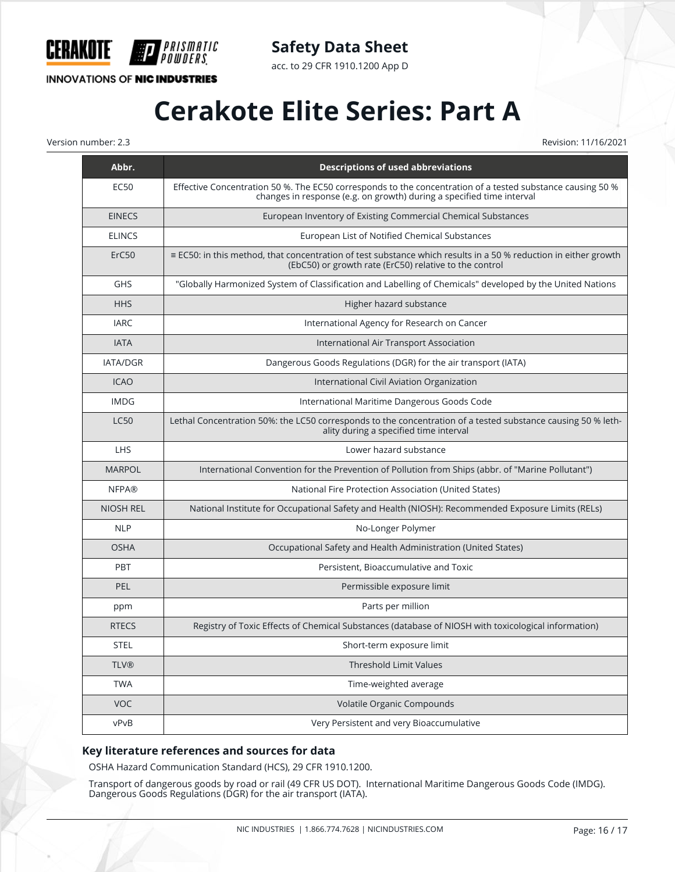

acc. to 29 CFR 1910.1200 App D

#### **INNOVATIONS OF NIC INDUSTRIES**

**P** 

*PRISMATIC<br>Powders*.

## **Cerakote Elite Series: Part A**

Version number: 2.3 Revision: 11/16/2021

| Abbr.            | <b>Descriptions of used abbreviations</b>                                                                                                                                           |
|------------------|-------------------------------------------------------------------------------------------------------------------------------------------------------------------------------------|
| EC50             | Effective Concentration 50 %. The EC50 corresponds to the concentration of a tested substance causing 50 %<br>changes in response (e.g. on growth) during a specified time interval |
| <b>EINECS</b>    | European Inventory of Existing Commercial Chemical Substances                                                                                                                       |
| <b>ELINCS</b>    | European List of Notified Chemical Substances                                                                                                                                       |
| ErC50            | ≡ EC50: in this method, that concentration of test substance which results in a 50 % reduction in either growth<br>(EbC50) or growth rate (ErC50) relative to the control           |
| <b>GHS</b>       | "Globally Harmonized System of Classification and Labelling of Chemicals" developed by the United Nations                                                                           |
| <b>HHS</b>       | Higher hazard substance                                                                                                                                                             |
| <b>IARC</b>      | International Agency for Research on Cancer                                                                                                                                         |
| <b>IATA</b>      | International Air Transport Association                                                                                                                                             |
| IATA/DGR         | Dangerous Goods Regulations (DGR) for the air transport (IATA)                                                                                                                      |
| <b>ICAO</b>      | International Civil Aviation Organization                                                                                                                                           |
| <b>IMDG</b>      | International Maritime Dangerous Goods Code                                                                                                                                         |
| <b>LC50</b>      | Lethal Concentration 50%: the LC50 corresponds to the concentration of a tested substance causing 50 % leth-<br>ality during a specified time interval                              |
| <b>LHS</b>       | Lower hazard substance                                                                                                                                                              |
| <b>MARPOL</b>    | International Convention for the Prevention of Pollution from Ships (abbr. of "Marine Pollutant")                                                                                   |
| <b>NFPA®</b>     | National Fire Protection Association (United States)                                                                                                                                |
| <b>NIOSH REL</b> | National Institute for Occupational Safety and Health (NIOSH): Recommended Exposure Limits (RELs)                                                                                   |
| <b>NLP</b>       | No-Longer Polymer                                                                                                                                                                   |
| <b>OSHA</b>      | Occupational Safety and Health Administration (United States)                                                                                                                       |
| PBT              | Persistent, Bioaccumulative and Toxic                                                                                                                                               |
| <b>PEL</b>       | Permissible exposure limit                                                                                                                                                          |
| ppm              | Parts per million                                                                                                                                                                   |
| <b>RTECS</b>     | Registry of Toxic Effects of Chemical Substances (database of NIOSH with toxicological information)                                                                                 |
| <b>STEL</b>      | Short-term exposure limit                                                                                                                                                           |
| <b>TLV®</b>      | <b>Threshold Limit Values</b>                                                                                                                                                       |
| <b>TWA</b>       | Time-weighted average                                                                                                                                                               |
| VOC              | Volatile Organic Compounds                                                                                                                                                          |
| vPvB             | Very Persistent and very Bioaccumulative                                                                                                                                            |

#### **Key literature references and sources for data**

OSHA Hazard Communication Standard (HCS), 29 CFR 1910.1200.

Transport of dangerous goods by road or rail (49 CFR US DOT). International Maritime Dangerous Goods Code (IMDG). Dangerous Goods Regulations (DGR) for the air transport (IATA).